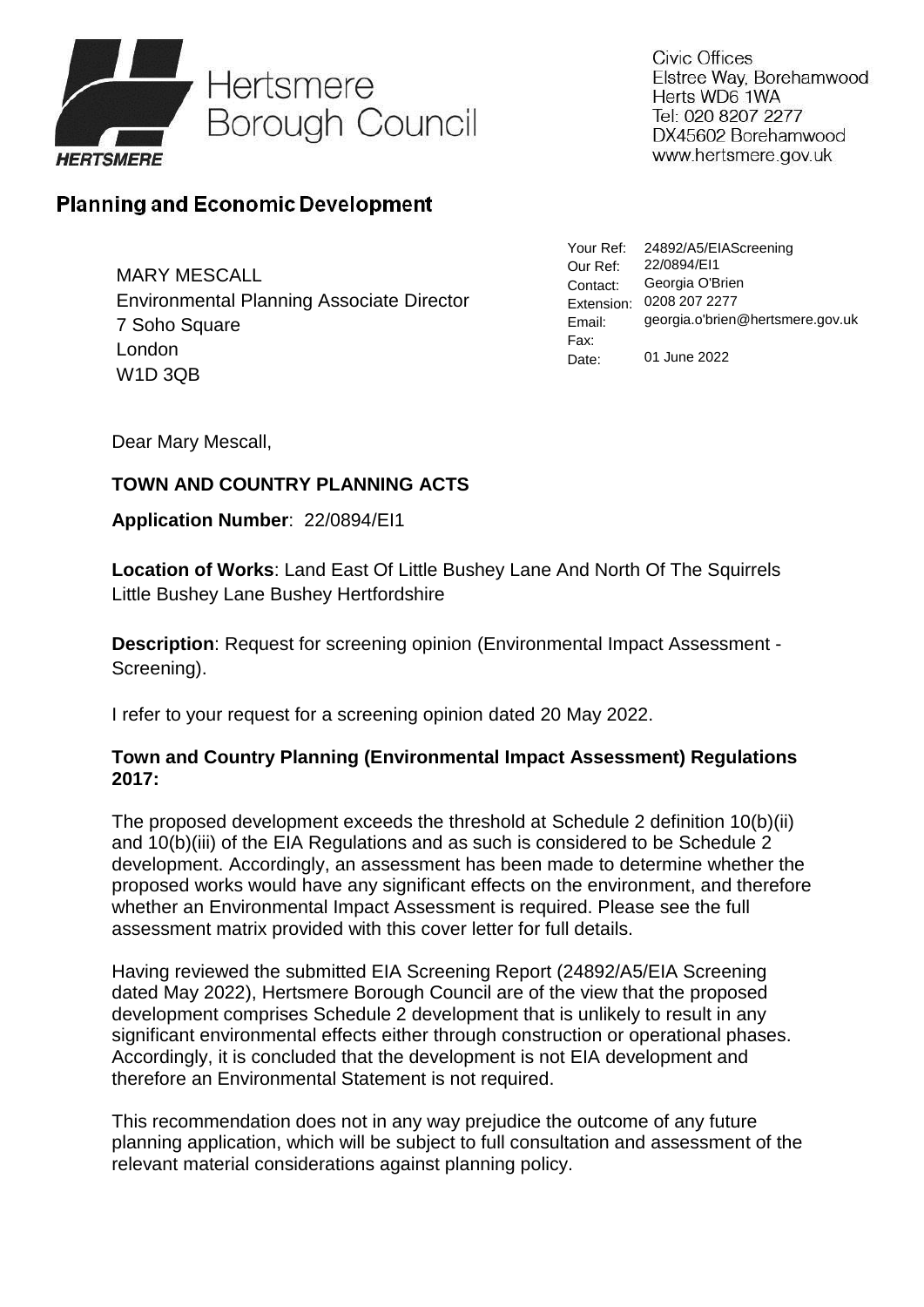

Civic Offices Elstree Way, Borehamwood Herts WD6 1WA Tel: 020 8207 2277 DX45602 Borehamwood www.hertsmere.gov.uk

## **Planning and Economic Development**

MARY MESCALL Environmental Planning Associate Director 7 Soho Square London W1D 3QB

Your Ref: 24892/A5/EIAScreening Our Ref: Contact: Extension: 0208 207 2277 Email: Fax: Date: 22/0894/EI1 Georgia O'Brien georgia.o'brien@hertsmere.gov.uk 01 June 2022

Dear Mary Mescall,

## **TOWN AND COUNTRY PLANNING ACTS**

## **Application Number**: 22/0894/EI1

**Location of Works**: Land East Of Little Bushey Lane And North Of The Squirrels Little Bushey Lane Bushey Hertfordshire

**Description**: Request for screening opinion (Environmental Impact Assessment - Screening).

I refer to your request for a screening opinion dated 20 May 2022.

## **Town and Country Planning (Environmental Impact Assessment) Regulations 2017:**

The proposed development exceeds the threshold at Schedule 2 definition 10(b)(ii) and 10(b)(iii) of the EIA Regulations and as such is considered to be Schedule 2 development. Accordingly, an assessment has been made to determine whether the proposed works would have any significant effects on the environment, and therefore whether an Environmental Impact Assessment is required. Please see the full assessment matrix provided with this cover letter for full details.

Having reviewed the submitted EIA Screening Report (24892/A5/EIA Screening dated May 2022), Hertsmere Borough Council are of the view that the proposed development comprises Schedule 2 development that is unlikely to result in any significant environmental effects either through construction or operational phases. Accordingly, it is concluded that the development is not EIA development and therefore an Environmental Statement is not required.

This recommendation does not in any way prejudice the outcome of any future planning application, which will be subject to full consultation and assessment of the relevant material considerations against planning policy.